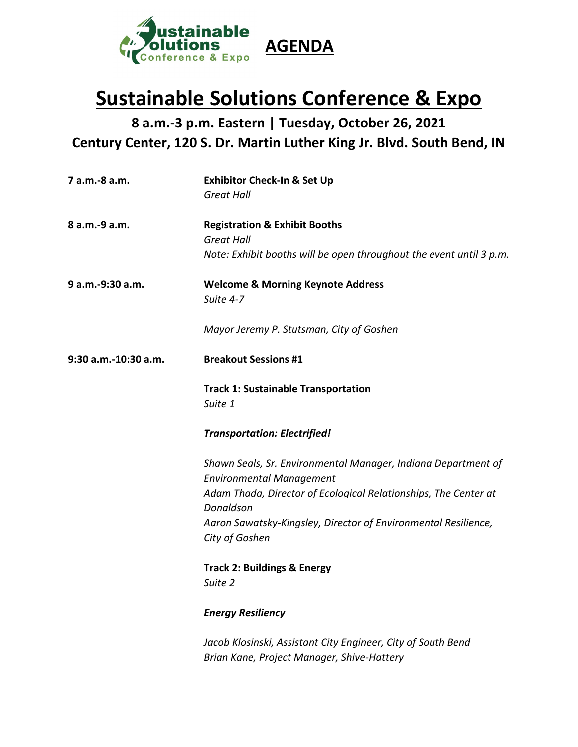

## **Sustainable Solutions Conference & Expo**

**8 a.m.-3 p.m. Eastern | Tuesday, October 26, 2021 Century Center, 120 S. Dr. Martin Luther King Jr. Blvd. South Bend, IN**

| 7 a.m.-8 a.m.        | <b>Exhibitor Check-In &amp; Set Up</b><br><b>Great Hall</b>                                                                          |
|----------------------|--------------------------------------------------------------------------------------------------------------------------------------|
| 8 a.m.-9 a.m.        | <b>Registration &amp; Exhibit Booths</b><br><b>Great Hall</b><br>Note: Exhibit booths will be open throughout the event until 3 p.m. |
| 9 a.m.-9:30 a.m.     | <b>Welcome &amp; Morning Keynote Address</b><br>Suite 4-7                                                                            |
|                      | Mayor Jeremy P. Stutsman, City of Goshen                                                                                             |
| 9:30 a.m.-10:30 a.m. | <b>Breakout Sessions #1</b>                                                                                                          |
|                      | <b>Track 1: Sustainable Transportation</b><br>Suite 1                                                                                |
|                      | <b>Transportation: Electrified!</b>                                                                                                  |
|                      | Shawn Seals, Sr. Environmental Manager, Indiana Department of<br><b>Environmental Management</b>                                     |
|                      | Adam Thada, Director of Ecological Relationships, The Center at<br>Donaldson                                                         |
|                      | Aaron Sawatsky-Kingsley, Director of Environmental Resilience,<br>City of Goshen                                                     |
|                      | <b>Track 2: Buildings &amp; Energy</b><br>Suite 2                                                                                    |
|                      | <b>Energy Resiliency</b>                                                                                                             |
|                      | Jacob Klosinski, Assistant City Engineer, City of South Bend                                                                         |

*Brian Kane, Project Manager, Shive-Hattery*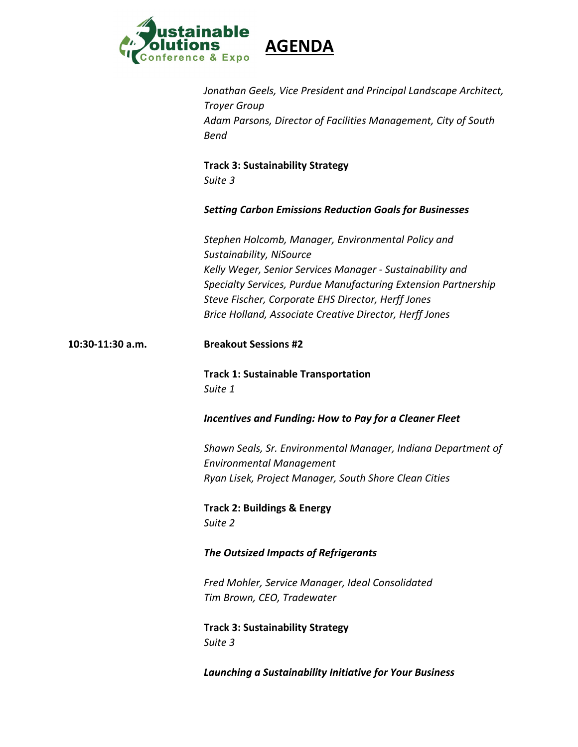

|                  | Jonathan Geels, Vice President and Principal Landscape Architect,<br><b>Troyer Group</b><br>Adam Parsons, Director of Facilities Management, City of South<br><b>Bend</b>                                                                                                                                                      |
|------------------|--------------------------------------------------------------------------------------------------------------------------------------------------------------------------------------------------------------------------------------------------------------------------------------------------------------------------------|
|                  | <b>Track 3: Sustainability Strategy</b><br>Suite 3                                                                                                                                                                                                                                                                             |
|                  | <b>Setting Carbon Emissions Reduction Goals for Businesses</b>                                                                                                                                                                                                                                                                 |
|                  | Stephen Holcomb, Manager, Environmental Policy and<br>Sustainability, NiSource<br>Kelly Weger, Senior Services Manager - Sustainability and<br>Specialty Services, Purdue Manufacturing Extension Partnership<br>Steve Fischer, Corporate EHS Director, Herff Jones<br>Brice Holland, Associate Creative Director, Herff Jones |
| 10:30-11:30 a.m. | <b>Breakout Sessions #2</b>                                                                                                                                                                                                                                                                                                    |
|                  | <b>Track 1: Sustainable Transportation</b><br>Suite 1                                                                                                                                                                                                                                                                          |
|                  | <b>Incentives and Funding: How to Pay for a Cleaner Fleet</b>                                                                                                                                                                                                                                                                  |
|                  | Shawn Seals, Sr. Environmental Manager, Indiana Department of<br><b>Environmental Management</b><br>Ryan Lisek, Project Manager, South Shore Clean Cities                                                                                                                                                                      |
|                  | <b>Track 2: Buildings &amp; Energy</b><br>Suite 2                                                                                                                                                                                                                                                                              |
|                  | The Outsized Impacts of Refrigerants                                                                                                                                                                                                                                                                                           |
|                  | Fred Mohler, Service Manager, Ideal Consolidated<br>Tim Brown, CEO, Tradewater                                                                                                                                                                                                                                                 |
|                  | <b>Track 3: Sustainability Strategy</b><br>Suite 3                                                                                                                                                                                                                                                                             |
|                  | Launching a Sustainability Initiative for Your Business                                                                                                                                                                                                                                                                        |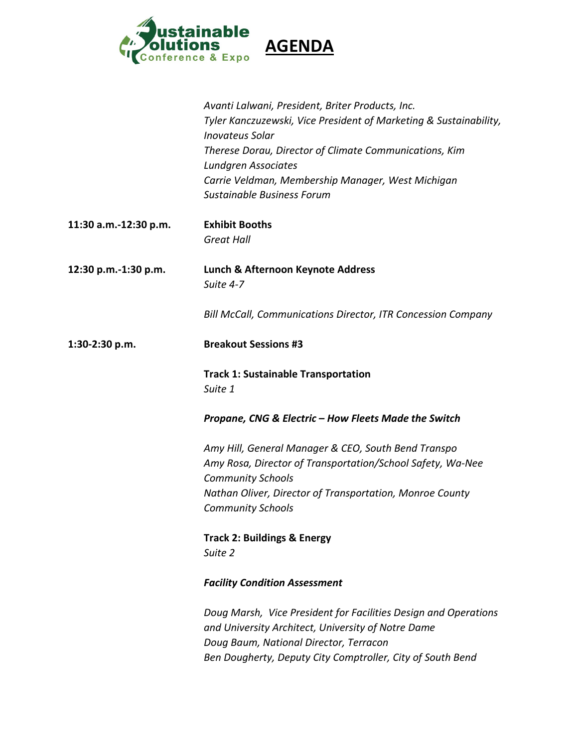

|                       | Avanti Lalwani, President, Briter Products, Inc.<br>Tyler Kanczuzewski, Vice President of Marketing & Sustainability,<br><b>Inovateus Solar</b><br>Therese Dorau, Director of Climate Communications, Kim<br><b>Lundgren Associates</b><br>Carrie Veldman, Membership Manager, West Michigan<br>Sustainable Business Forum |
|-----------------------|----------------------------------------------------------------------------------------------------------------------------------------------------------------------------------------------------------------------------------------------------------------------------------------------------------------------------|
| 11:30 a.m.-12:30 p.m. | <b>Exhibit Booths</b><br><b>Great Hall</b>                                                                                                                                                                                                                                                                                 |
| 12:30 p.m.-1:30 p.m.  | Lunch & Afternoon Keynote Address<br>Suite 4-7                                                                                                                                                                                                                                                                             |
|                       | <b>Bill McCall, Communications Director, ITR Concession Company</b>                                                                                                                                                                                                                                                        |
| 1:30-2:30 p.m.        | <b>Breakout Sessions #3</b>                                                                                                                                                                                                                                                                                                |
|                       | <b>Track 1: Sustainable Transportation</b><br>Suite 1                                                                                                                                                                                                                                                                      |
|                       | Propane, CNG & Electric - How Fleets Made the Switch                                                                                                                                                                                                                                                                       |
|                       | Amy Hill, General Manager & CEO, South Bend Transpo<br>Amy Rosa, Director of Transportation/School Safety, Wa-Nee<br><b>Community Schools</b><br>Nathan Oliver, Director of Transportation, Monroe County<br><b>Community Schools</b>                                                                                      |
|                       | <b>Track 2: Buildings &amp; Energy</b><br>Suite 2                                                                                                                                                                                                                                                                          |
|                       | <b>Facility Condition Assessment</b>                                                                                                                                                                                                                                                                                       |
|                       | Doug Marsh, Vice President for Facilities Design and Operations<br>and University Architect, University of Notre Dame<br>Doug Baum, National Director, Terracon<br>Ben Dougherty, Deputy City Comptroller, City of South Bend                                                                                              |